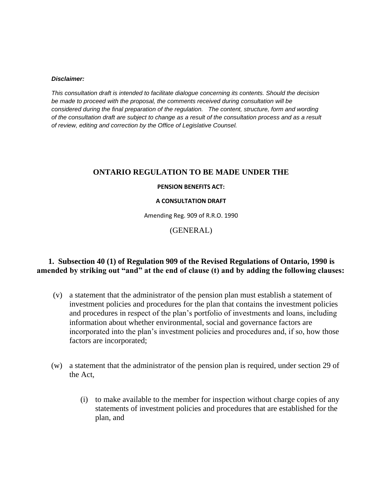#### *Disclaimer:*

*This consultation draft is intended to facilitate dialogue concerning its contents. Should the decision be made to proceed with the proposal, the comments received during consultation will be considered during the final preparation of the regulation. The content, structure, form and wording of the consultation draft are subject to change as a result of the consultation process and as a result of review, editing and correction by the Office of Legislative Counsel.*

### **ONTARIO REGULATION TO BE MADE UNDER THE**

### **PENSION BENEFITS ACT:**

### **A CONSULTATION DRAFT**

Amending Reg. 909 of R.R.O. 1990

(GENERAL)

## **1. Subsection 40 (1) of Regulation 909 of the Revised Regulations of Ontario, 1990 is amended by striking out "and" at the end of clause (t) and by adding the following clauses:**

- (v) a statement that the administrator of the pension plan must establish a statement of investment policies and procedures for the plan that contains the investment policies and procedures in respect of the plan's portfolio of investments and loans, including information about whether environmental, social and governance factors are incorporated into the plan's investment policies and procedures and, if so, how those factors are incorporated;
- (w) a statement that the administrator of the pension plan is required, under section 29 of the Act,
	- (i) to make available to the member for inspection without charge copies of any statements of investment policies and procedures that are established for the plan, and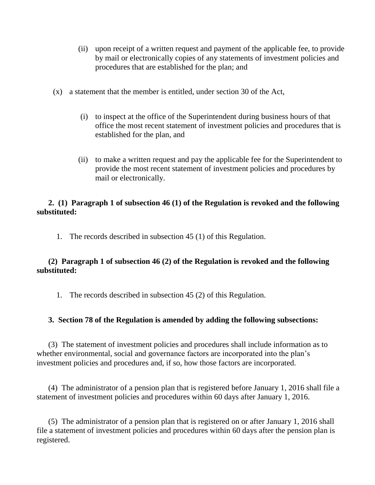- (ii) upon receipt of a written request and payment of the applicable fee, to provide by mail or electronically copies of any statements of investment policies and procedures that are established for the plan; and
- (x) a statement that the member is entitled, under section 30 of the Act,
	- (i) to inspect at the office of the Superintendent during business hours of that office the most recent statement of investment policies and procedures that is established for the plan, and
	- (ii) to make a written request and pay the applicable fee for the Superintendent to provide the most recent statement of investment policies and procedures by mail or electronically.

## **2. (1) Paragraph 1 of subsection 46 (1) of the Regulation is revoked and the following substituted:**

1. The records described in subsection 45 (1) of this Regulation.

# **(2) Paragraph 1 of subsection 46 (2) of the Regulation is revoked and the following substituted:**

1. The records described in subsection 45 (2) of this Regulation.

## **3. Section 78 of the Regulation is amended by adding the following subsections:**

(3) The statement of investment policies and procedures shall include information as to whether environmental, social and governance factors are incorporated into the plan's investment policies and procedures and, if so, how those factors are incorporated.

(4) The administrator of a pension plan that is registered before January 1, 2016 shall file a statement of investment policies and procedures within 60 days after January 1, 2016.

(5) The administrator of a pension plan that is registered on or after January 1, 2016 shall file a statement of investment policies and procedures within 60 days after the pension plan is registered.